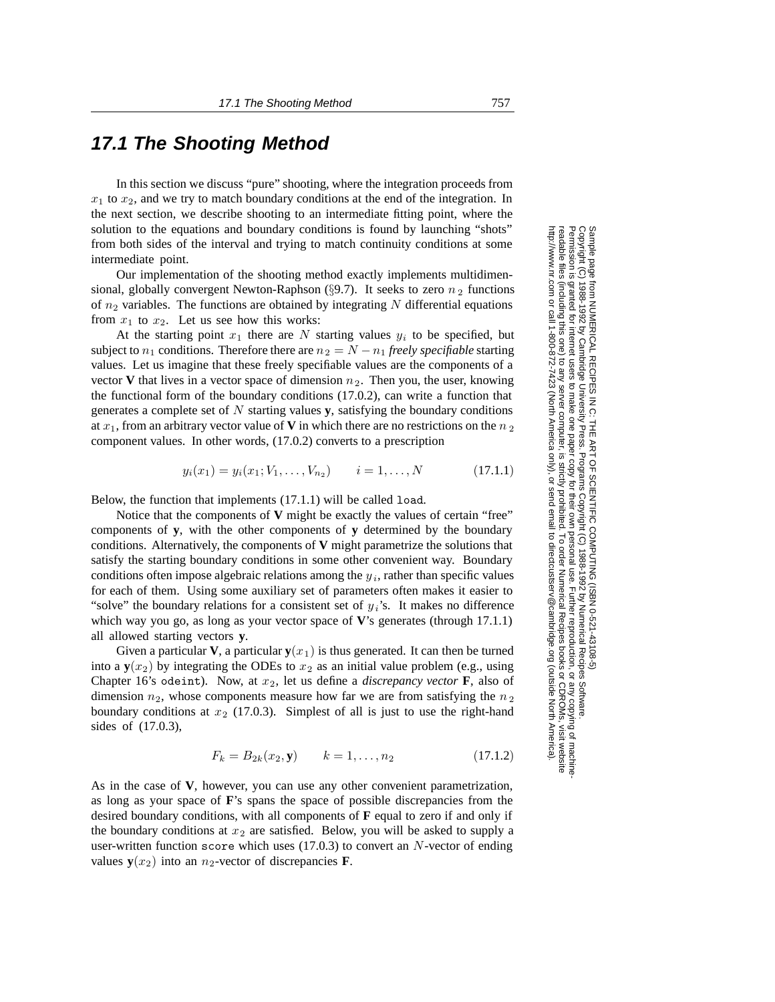## **17.1 The Shooting Method**

In this section we discuss "pure" shooting, where the integration proceeds from  $x_1$  to  $x_2$ , and we try to match boundary conditions at the end of the integration. In the next section, we describe shooting to an intermediate fitting point, where the solution to the equations and boundary conditions is found by launching "shots" from both sides of the interval and trying to match continuity conditions at some intermediate point.

Our implementation of the shooting method exactly implements multidimensional, globally convergent Newton-Raphson (§9.7). It seeks to zero  $n_2$  functions of  $n_2$  variables. The functions are obtained by integrating N differential equations from  $x_1$  to  $x_2$ . Let us see how this works:

At the starting point  $x_1$  there are N starting values  $y_i$  to be specified, but subject to  $n_1$  conditions. Therefore there are  $n_2 = N - n_1$  *freely specifiable* starting values. Let us imagine that these freely specifiable values are the components of a vector **V** that lives in a vector space of dimension  $n_2$ . Then you, the user, knowing the functional form of the boundary conditions (17.0.2), can write a function that generates a complete set of  $N$  starting values  $\bf{y}$ , satisfying the boundary conditions at  $x_1$ , from an arbitrary vector value of **V** in which there are no restrictions on the  $n_2$ component values. In other words, (17.0.2) converts to a prescription

$$
y_i(x_1) = y_i(x_1; V_1, \dots, V_{n_2}) \qquad i = 1, \dots, N \qquad (17.1.1)
$$

Below, the function that implements (17.1.1) will be called load.

Notice that the components of **V** might be exactly the values of certain "free" components of **y**, with the other components of **y** determined by the boundary conditions. Alternatively, the components of **V** might parametrize the solutions that satisfy the starting boundary conditions in some other convenient way. Boundary conditions often impose algebraic relations among the  $y_i$ , rather than specific values for each of them. Using some auxiliary set of parameters often makes it easier to "solve" the boundary relations for a consistent set of y*i*'s. It makes no difference which way you go, as long as your vector space of **V**'s generates (through 17.1.1) all allowed starting vectors **y**.

Given a particular **V**, a particular  $y(x_1)$  is thus generated. It can then be turned into a  $y(x_2)$  by integrating the ODEs to  $x_2$  as an initial value problem (e.g., using Chapter 16's odeint). Now, at  $x_2$ , let us define a *discrepancy vector* **F**, also of dimension  $n_2$ , whose components measure how far we are from satisfying the  $n_2$ boundary conditions at  $x_2$  (17.0.3). Simplest of all is just to use the right-hand sides of (17.0.3),

$$
F_k = B_{2k}(x_2, \mathbf{y}) \qquad k = 1, \dots, n_2 \tag{17.1.2}
$$

As in the case of **V**, however, you can use any other convenient parametrization, as long as your space of **F**'s spans the space of possible discrepancies from the desired boundary conditions, with all components of **F** equal to zero if and only if the boundary conditions at  $x_2$  are satisfied. Below, you will be asked to supply a user-written function score which uses  $(17.0.3)$  to convert an N-vector of ending values  $y(x_2)$  into an  $n_2$ -vector of discrepancies **F**.

Permission is granted for internet users to make one paper copy for their own personal use. Further reproduction, or any copyin Copyright (C) 1988-1992 by Cambridge University Press.Programs Copyright (C) 1988-1992 by Numerical Recipes Software. g of machinereadable files (including this one) to any servercomputer, is strictly prohibited. To order Numerical Recipes booksor CDROMs, visit website http://www.nr.com or call 1-800-872-7423 (North America only),or send email to directcustserv@cambridge.org (outside North America).

Sample page from NUMERICAL RECIPES IN C: THE ART OF SCIENTIFIC COMPUTING (ISBN 0-521-43108-5)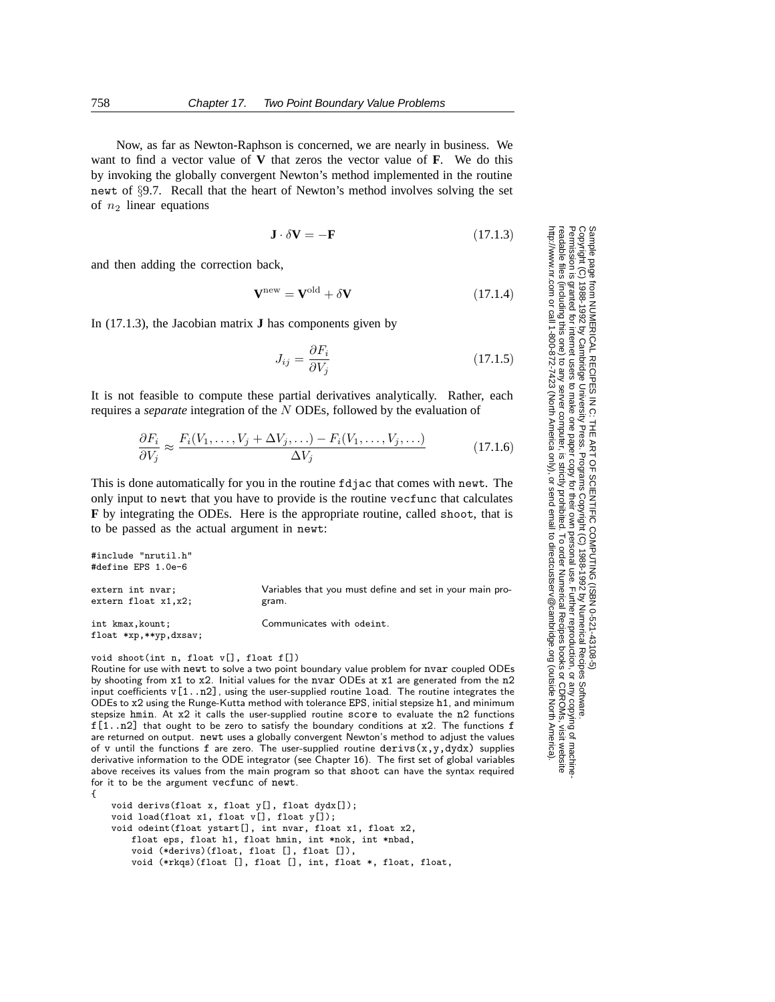Now, as far as Newton-Raphson is concerned, we are nearly in business. We want to find a vector value of **V** that zeros the vector value of **F**. We do this by invoking the globally convergent Newton's method implemented in the routine newt of §9.7. Recall that the heart of Newton's method involves solving the set of  $n_2$  linear equations

$$
\mathbf{J} \cdot \delta \mathbf{V} = -\mathbf{F} \tag{17.1.3}
$$

and then adding the correction back,

$$
\mathbf{V}^{\text{new}} = \mathbf{V}^{\text{old}} + \delta \mathbf{V} \tag{17.1.4}
$$

In (17.1.3), the Jacobian matrix **J** has components given by

$$
J_{ij} = \frac{\partial F_i}{\partial V_j} \tag{17.1.5}
$$

It is not feasible to compute these partial derivatives analytically. Rather, each requires a *separate* integration of the N ODEs, followed by the evaluation of

$$
\frac{\partial F_i}{\partial V_j} \approx \frac{F_i(V_1, \dots, V_j + \Delta V_j, \dots) - F_i(V_1, \dots, V_j, \dots)}{\Delta V_j}
$$
(17.1.6)

This is done automatically for you in the routine fdjac that comes with newt. The only input to newt that you have to provide is the routine vecfunc that calculates **F** by integrating the ODEs. Here is the appropriate routine, called shoot, that is to be passed as the actual argument in newt:

```
#include "nrutil.h"
#define EPS 1.0e-6
extern int nvar; Variables that you must define and set in your main pro-
extern float x1, x2; gram.
int kmax,kount; Communicates with odeint.
float *xp,**yp,dxsav;
```
void shoot(int n, float v[], float f[])

Routine for use with newt to solve a two point boundary value problem for nvar coupled ODEs by shooting from x1 to x2. Initial values for the nvar ODEs at x1 are generated from the n2 input coefficients  $v[1..n2]$ , using the user-supplied routine load. The routine integrates the ODEs to x2 using the Runge-Kutta method with tolerance EPS, initial stepsize h1, and minimum stepsize hmin. At x2 it calls the user-supplied routine score to evaluate the n2 functions  $f[1..n2]$  that ought to be zero to satisfy the boundary conditions at x2. The functions f are returned on output. newt uses a globally convergent Newton's method to adjust the values of v until the functions f are zero. The user-supplied routine derivs  $(x,y,dydx)$  supplies derivative information to the ODE integrator (see Chapter 16). The first set of global variables above receives its values from the main program so that shoot can have the syntax required for it to be the argument vecfunc of newt. {

void derivs(float x, float y[], float dydx[]); void load(float x1, float v[], float y[]); void odeint(float ystart[], int nvar, float x1, float x2, float eps, float h1, float hmin, int \*nok, int \*nbad, void (\*derivs)(float, float [], float []), void (\*rkqs)(float [], float [], int, float \*, float, float,

Permission is granted for internet users to make one paper copy for their own personal use. Further reproduction, or any copyin Copyright (C) 1988-1992 by Cambridge University Press.Programs Copyright (C) 1988-1992 by Numerical Recipes Software. Sample page from NUMERICAL RECIPES IN C: THE ART OF SCIENTIFIC COMPUTING (ISBN 0-521-43108-5) g of machinereadable files (including this one) to any servercomputer, is strictly prohibited. To order Numerical Recipes booksor CDROMs, visit website http://www.nr.com or call 1-800-872-7423 (North America only),or send email to directcustserv@cambridge.org (outside North America).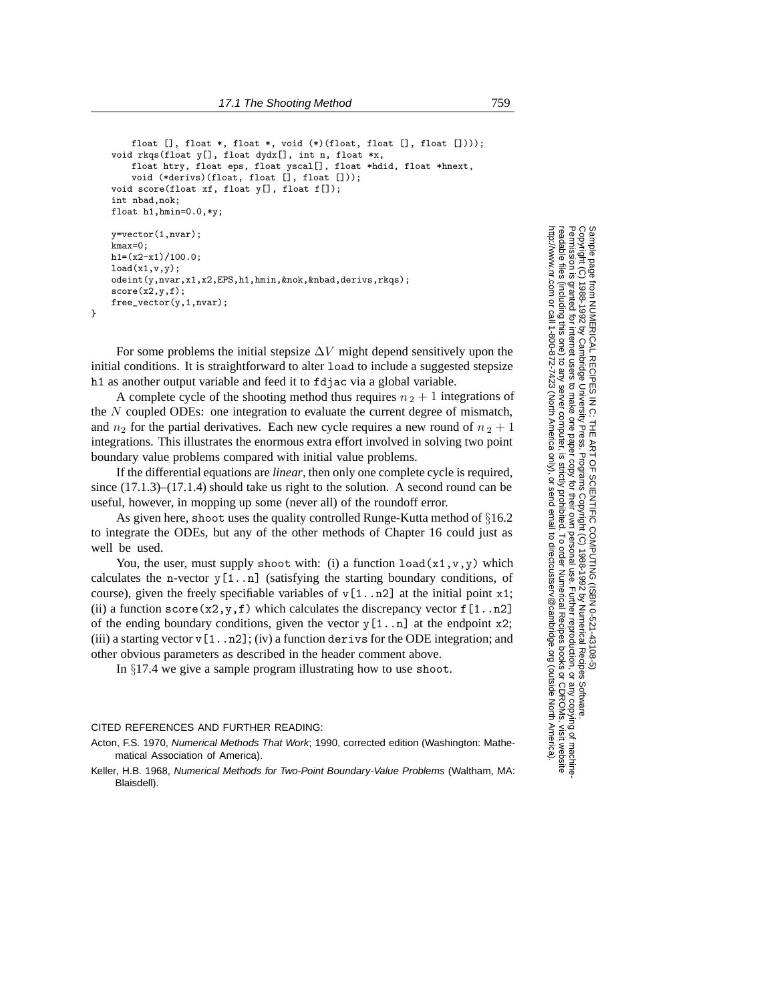```
float [], float *, float *, void (*)(float, float [], float [])));
void rkqs(float y[], float dydx[], int n, float *x,
    float htry, float eps, float yscal[], float *hdid, float *hnext,
    void (*derivs)(float, float [], float []));
void score(float xf, float y[], float f[]);
int nbad,nok;
float h1,hmin=0.0,*y;
y=vector(1,nvar);
kmax=0;
h1=(x2-x1)/100.0;
load(x1,v,y);
odeint(y,nvar,x1,x2,EPS,h1,hmin,&nok,&nbad,derivs,rkqs);
score(x2,y,f):
free_vector(y,1,nvar);
```
}

For some problems the initial stepsize  $\Delta V$  might depend sensitively upon the initial conditions. It is straightforward to alter load to include a suggested stepsize h1 as another output variable and feed it to fdjac via a global variable.

A complete cycle of the shooting method thus requires  $n_2 + 1$  integrations of the N coupled ODEs: one integration to evaluate the current degree of mismatch, and  $n_2$  for the partial derivatives. Each new cycle requires a new round of  $n_2 + 1$ integrations. This illustrates the enormous extra effort involved in solving two point boundary value problems compared with initial value problems.

If the differential equations are *linear*, then only one complete cycle is required, since (17.1.3)–(17.1.4) should take us right to the solution. A second round can be useful, however, in mopping up some (never all) of the roundoff error.

As given here, shoot uses the quality controlled Runge-Kutta method of §16.2 to integrate the ODEs, but any of the other methods of Chapter 16 could just as well be used.

You, the user, must supply shoot with: (i) a function  $load(x1, v, y)$  which calculates the n-vector  $y[1..n]$  (satisfying the starting boundary conditions, of course), given the freely specifiable variables of  $v[1..n2]$  at the initial point x1; (ii) a function score(x2,y,f) which calculates the discrepancy vector  $f[1..n2]$ of the ending boundary conditions, given the vector  $y[1..n]$  at the endpoint x2; (iii) a starting vector v[1..n2]; (iv) a function derivs for the ODE integration; and other obvious parameters as described in the header comment above.

In §17.4 we give a sample program illustrating how to use shoot.

## CITED REFERENCES AND FURTHER READING:

Acton, F.S. 1970, Numerical Methods That Work; 1990, corrected edition (Washington: Mathematical Association of America).

Keller, H.B. 1968, Numerical Methods for Two-Point Boundary-Value Problems (Waltham, MA: Blaisdell).

Permission is granted for internet users to make one paper copy for their own personal use. Further reproduction, or any copyin Copyright (C) 1988-1992 by Cambridge University Press.Programs Copyright (C) 1988-1992 by Numerical Recipes Software. Sample page from NUMERICAL RECIPES IN C: THE ART OF SCIENTIFIC COMPUTING (ISBN 0-521-43108-5) g of machinereadable files (including this one) to any servercomputer, is strictly prohibited. To order Numerical Recipes booksor CDROMs, visit website http://www.nr.com or call 1-800-872-7423 (North America only),or send email to directcustserv@cambridge.org (outside North America).